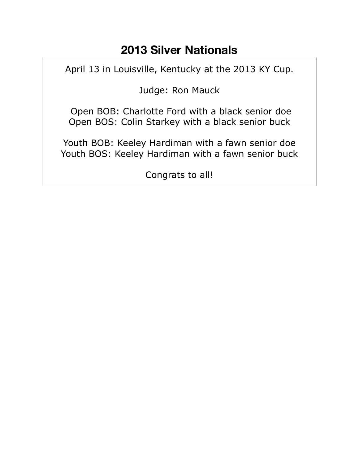## **2013 Silver Nationals**

April 13 in Louisville, Kentucky at the 2013 KY Cup.

Judge: Ron Mauck

 Open BOB: Charlotte Ford with a black senior doe Open BOS: Colin Starkey with a black senior buck

Youth BOB: Keeley Hardiman with a fawn senior doe Youth BOS: Keeley Hardiman with a fawn senior buck

Congrats to all!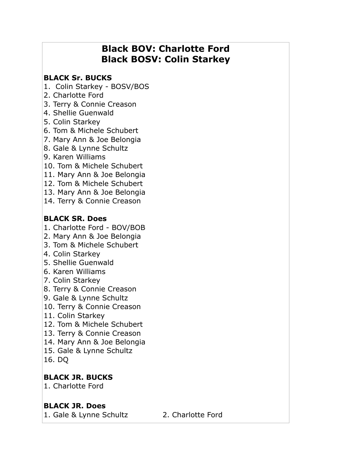## **Black BOV: Charlotte Ford Black BOSV: Colin Starkey**

#### **BLACK Sr. BUCKS**

- 1. Colin Starkey BOSV/BOS
- 2. Charlotte Ford
- 3. Terry & Connie Creason
- 4. Shellie Guenwald
- 5. Colin Starkey
- 6. Tom & Michele Schubert
- 7. Mary Ann & Joe Belongia
- 8. Gale & Lynne Schultz
- 9. Karen Williams
- 10. Tom & Michele Schubert
- 11. Mary Ann & Joe Belongia
- 12. Tom & Michele Schubert
- 13. Mary Ann & Joe Belongia
- 14. Terry & Connie Creason

#### **BLACK SR. Does**

- 1. Charlotte Ford BOV/BOB
- 2. Mary Ann & Joe Belongia
- 3. Tom & Michele Schubert
- 4. Colin Starkey
- 5. Shellie Guenwald
- 6. Karen Williams
- 7. Colin Starkey
- 8. Terry & Connie Creason
- 9. Gale & Lynne Schultz
- 10. Terry & Connie Creason
- 11. Colin Starkey
- 12. Tom & Michele Schubert
- 13. Terry & Connie Creason
- 14. Mary Ann & Joe Belongia
- 15. Gale & Lynne Schultz
- 16. DQ

#### **BLACK JR. BUCKS**

1. Charlotte Ford

#### **BLACK JR. Does**

1. Gale & Lynne Schultz 2. Charlotte Ford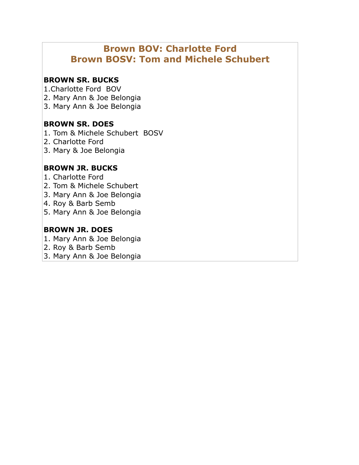## **Brown BOV: Charlotte Ford Brown BOSV: Tom and Michele Schubert**

#### **BROWN SR. BUCKS**

1.Charlotte Ford BOV

- 2. Mary Ann & Joe Belongia
- 3. Mary Ann & Joe Belongia

#### **BROWN SR. DOES**

- 1. Tom & Michele Schubert BOSV
- 2. Charlotte Ford
- 3. Mary & Joe Belongia

#### **BROWN JR. BUCKS**

- 1. Charlotte Ford
- 2. Tom & Michele Schubert
- 3. Mary Ann & Joe Belongia
- 4. Roy & Barb Semb
- 5. Mary Ann & Joe Belongia

#### **BROWN JR. DOES**

- 1. Mary Ann & Joe Belongia
- 2. Roy & Barb Semb
- 3. Mary Ann & Joe Belongia